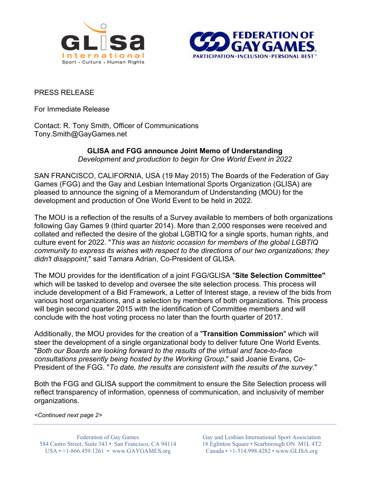



## PRESS RELEASE

For Immediate Release

Contact: R. Tony Smith, Officer of Communications Tony.Smith@GayGames.net

#### **GLISA and FGG announce Joint Memo of Understanding** *Development and production to begin for One World Event in 2022*

SAN FRANCISCO, CALIFORNIA, USA (19 May 2015) The Boards of the Federation of Gay Games (FGG) and the Gay and Lesbian International Sports Organization (GLISA) are pleased to announce the signing of a Memorandum of Understanding (MOU) for the development and production of One World Event to be held in 2022.

The MOU is a reflection of the results of a Survey available to members of both organizations following Gay Games 9 (third quarter 2014). More than 2,000 responses were received and collated and reflected the desire of the global LGBTIQ for a single sports, human rights, and culture event for 2022. "*This was an historic occasion for members of the global LGBTIQ community to express its wishes with respect to the directions of our two organizations; they didn't disappoint*," said Tamara Adrian, Co-President of GLISA.

The MOU provides for the identification of a joint FGG/GLISA "**Site Selection Committee"** which will be tasked to develop and oversee the site selection process. This process will include development of a Bid Framework, a Letter of Interest stage, a review of the bids from various host organizations, and a selection by members of both organizations. This process will begin second quarter 2015 with the identification of Committee members and will conclude with the host voting process no later than the fourth quarter of 2017.

Additionally, the MOU provides for the creation of a "**Transition Commission**" which will steer the development of a single organizational body to deliver future One World Events. "*Both our Boards are looking forward to the results of the virtual and face-to-face consultations presently being hosted by the Working Group*," said Joanie Evans, Co-President of the FGG. "*To date, the results are consistent with the results of the survey*."

Both the FGG and GLISA support the commitment to ensure the Site Selection process will reflect transparency of information, openness of communication, and inclusivity of member organizations.

*<Continued next page 2>*